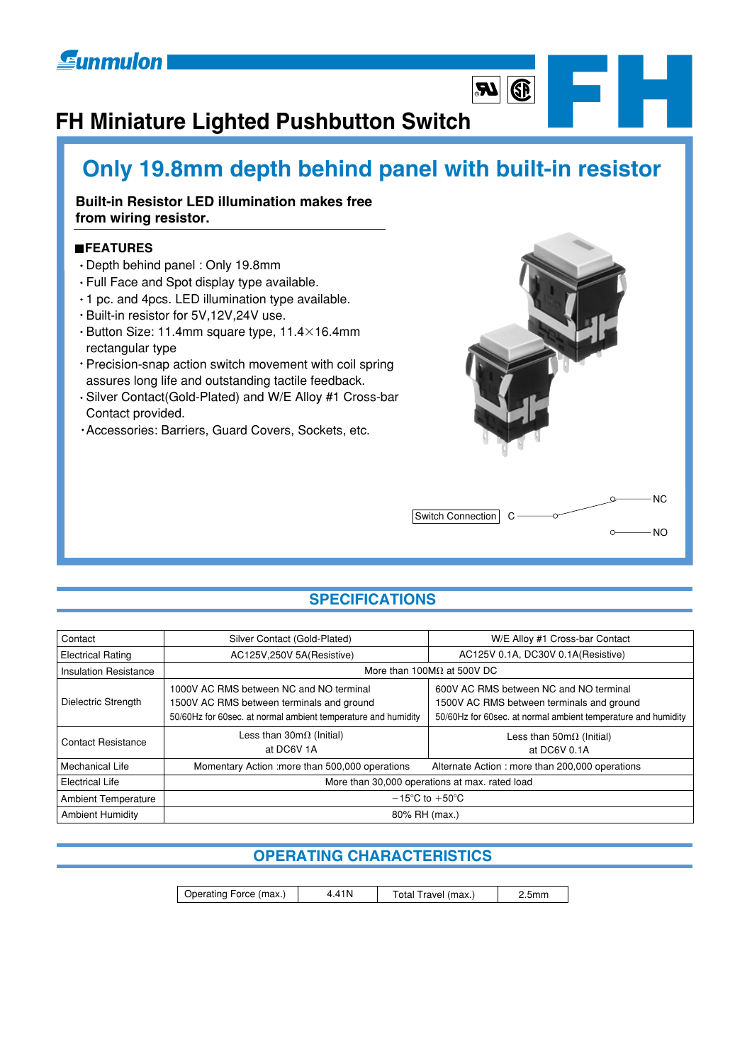## **Eunmulon**

## **FH Miniature Lighted Pushbutton Switch**

## **Only 19.8mm depth behind panel with built-in resistor**

## **Built-in Resistor LED illumination makes free from wiring resistor.**

## **FEATURES**

- Depth behind panel : Only 19.8mm
- Full Face and Spot display type available.
- 1 pc. and 4pcs. LED illumination type available.
- Built-in resistor for 5V,12V,24V use.
- $\cdot$  Button Size: 11.4mm square type, 11.4 $\times$ 16.4mm rectangular type
- Precision-snap action switch movement with coil spring assures long life and outstanding tactile feedback.
- Silver Contact(Gold-Plated) and W/E Alloy #1 Cross-bar Contact provided.
- Accessories: Barriers, Guard Covers, Sockets, etc.



 $\boxed{4}$ 

R**F**<br>R**F**<br>R**F**<br>R**F** 

## **SPECIFICATIONS**

| Contact                      | Silver Contact (Gold-Plated)                                                                                                                          | W/E Alloy #1 Cross-bar Contact                                                                                                                       |  |
|------------------------------|-------------------------------------------------------------------------------------------------------------------------------------------------------|------------------------------------------------------------------------------------------------------------------------------------------------------|--|
| <b>Electrical Rating</b>     | AC125V, 250V 5A (Resistive)                                                                                                                           | AC125V 0.1A, DC30V 0.1A(Resistive)                                                                                                                   |  |
| <b>Insulation Resistance</b> | More than 100M $\Omega$ at 500V DC                                                                                                                    |                                                                                                                                                      |  |
| Dielectric Strength          | 1000V AC RMS between NC and NO terminal<br>1500V AC RMS between terminals and ground<br>50/60Hz for 60sec. at normal ambient temperature and humidity | 600V AC RMS between NC and NO terminal<br>1500V AC RMS between terminals and ground<br>50/60Hz for 60sec. at normal ambient temperature and humidity |  |
| <b>Contact Resistance</b>    | Less than $30m\Omega$ (Initial)<br>at DC6V 1A                                                                                                         | Less than $50 \text{m}\Omega$ (Initial)<br>at DC6V 0.1A                                                                                              |  |
| Mechanical Life              | Momentary Action : more than 500,000 operations                                                                                                       | Alternate Action: more than 200,000 operations                                                                                                       |  |
| <b>Electrical Life</b>       | More than 30,000 operations at max. rated load                                                                                                        |                                                                                                                                                      |  |
| <b>Ambient Temperature</b>   | $-15^{\circ}$ C to $+50^{\circ}$ C                                                                                                                    |                                                                                                                                                      |  |
| <b>Ambient Humidity</b>      | 80% RH (max.)                                                                                                                                         |                                                                                                                                                      |  |

## **OPERATING CHARACTERISTICS**

| Operating Force (max.) | 4.41N | Total Travel (max.) | 2.5 <sub>mm</sub> |
|------------------------|-------|---------------------|-------------------|
|------------------------|-------|---------------------|-------------------|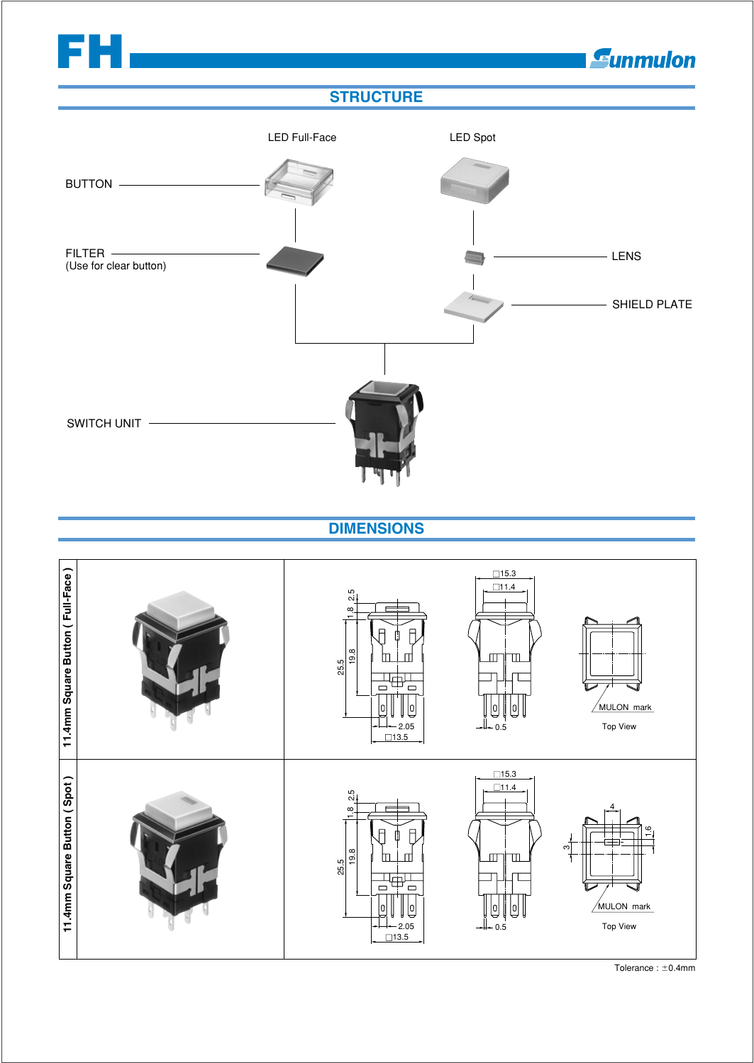

Tolerance :  $\pm$ 0.4mm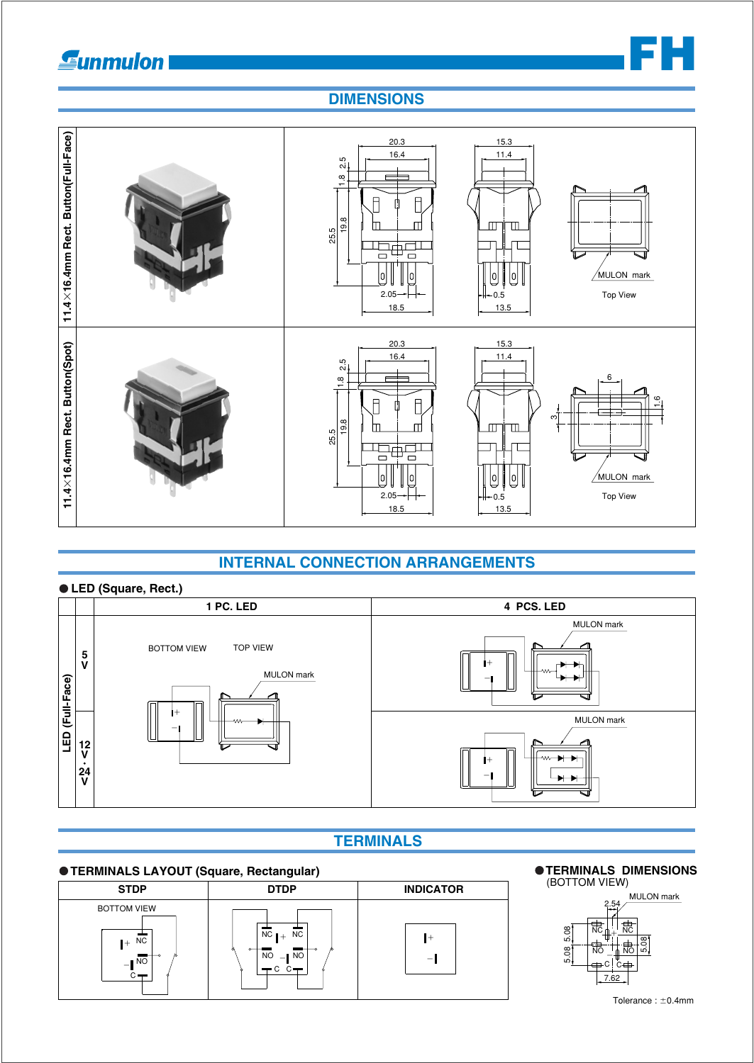## **Sunmulon**



## **DIMENSIONS**



## **INTERNAL CONNECTION ARRANGEMENTS**





## **TERMINALS**

### **O TERMINALS LAYOUT (Square, Rectangular)**



## **OTERMINALS DIMENSIONS**<br>(BOTTOM VIEW)

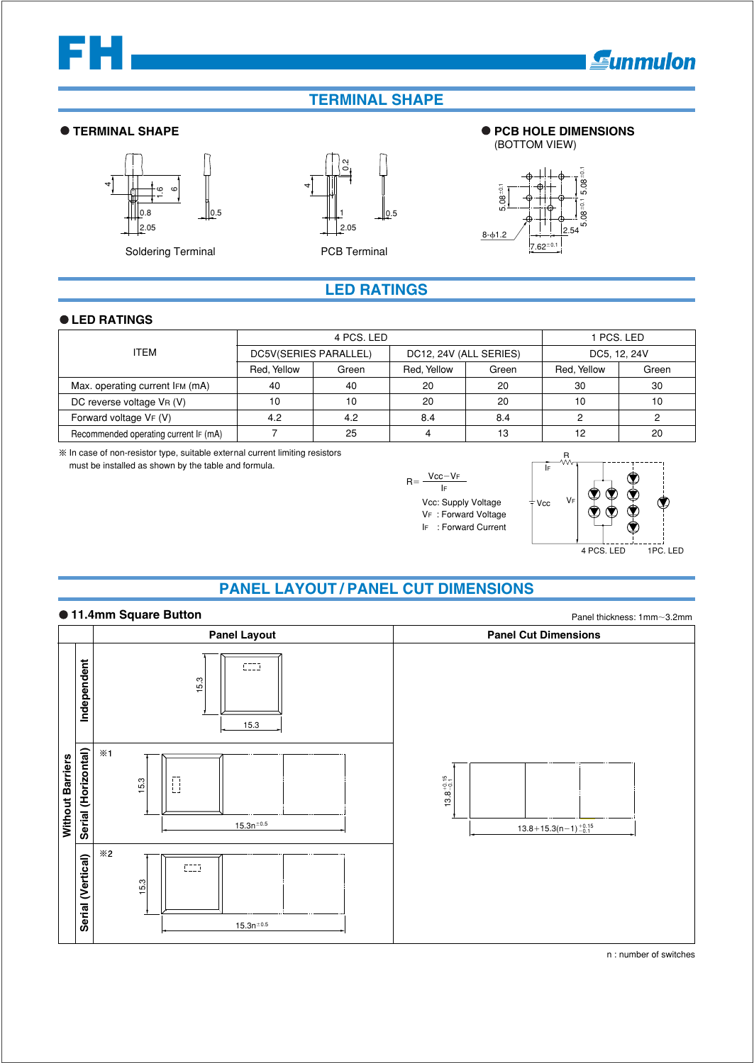# **FH**

## **TERMINAL SHAPE**

### **TERMINAL SHAPE PCB HOLE DIMENSIONS**



Soldering Terminal **PCB Terminal** 





## **LED RATINGS**

### **LED RATINGS**

|                                       | 4 PCS. LED            |       |                        |       | 1 PCS. LED   |       |
|---------------------------------------|-----------------------|-------|------------------------|-------|--------------|-------|
| <b>ITEM</b>                           | DC5V(SERIES PARALLEL) |       | DC12, 24V (ALL SERIES) |       | DC5, 12, 24V |       |
|                                       | Red, Yellow           | Green | Red, Yellow            | Green | Red, Yellow  | Green |
| Max. operating current IFM (mA)       | 40                    | 40    | 20                     | 20    | 30           | 30    |
| DC reverse voltage VR (V)             | 10                    | 10    | 20                     | 20    | 10           | 10    |
| Forward voltage VF (V)                | 4.2                   | 4.2   | 8.4                    | 8.4   |              |       |
| Recommended operating current IF (mA) |                       | 25    |                        | 13    | 12           | 20    |

 $\%$  In case of non-resistor type, suitable external current limiting resistors

must be installed as shown by the table and formula.



Vcc: Supply Voltage VF : Forward Voltage IF : Forward Current



**Eunmulon** 

## **PANEL LAYOUT / PANEL CUT DIMENSIONS**



n : number of switches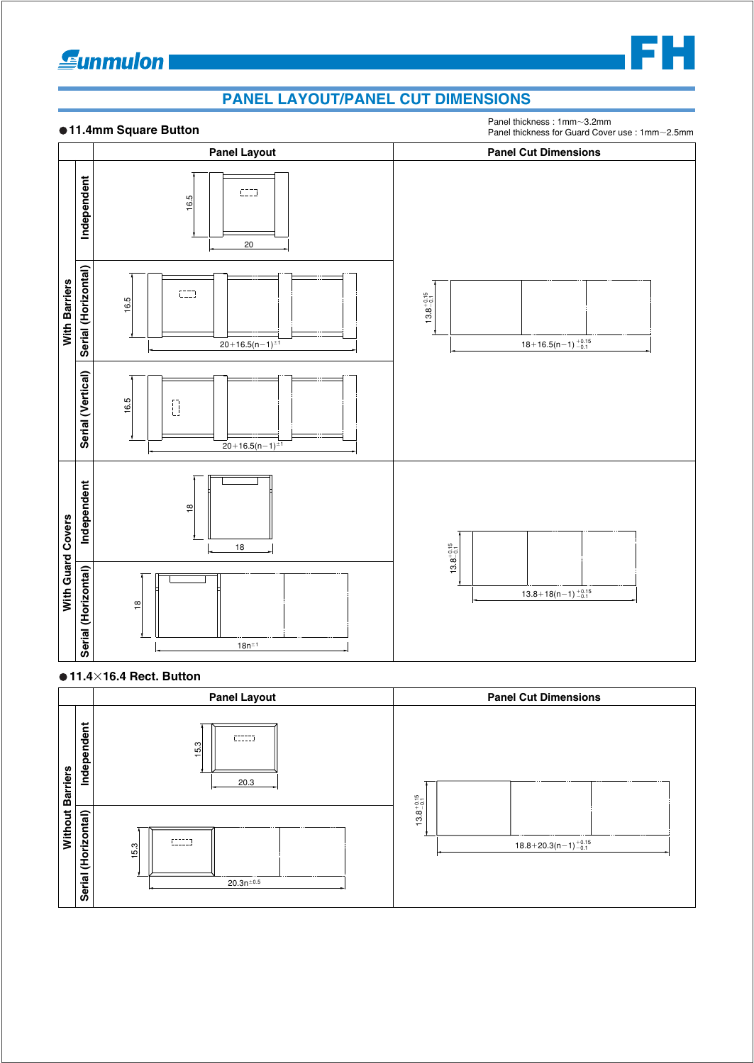## **Eunmulon**



Panel thickness : 1mm~3.2mm

**FH**



### **11.416.4 Rect. Button**

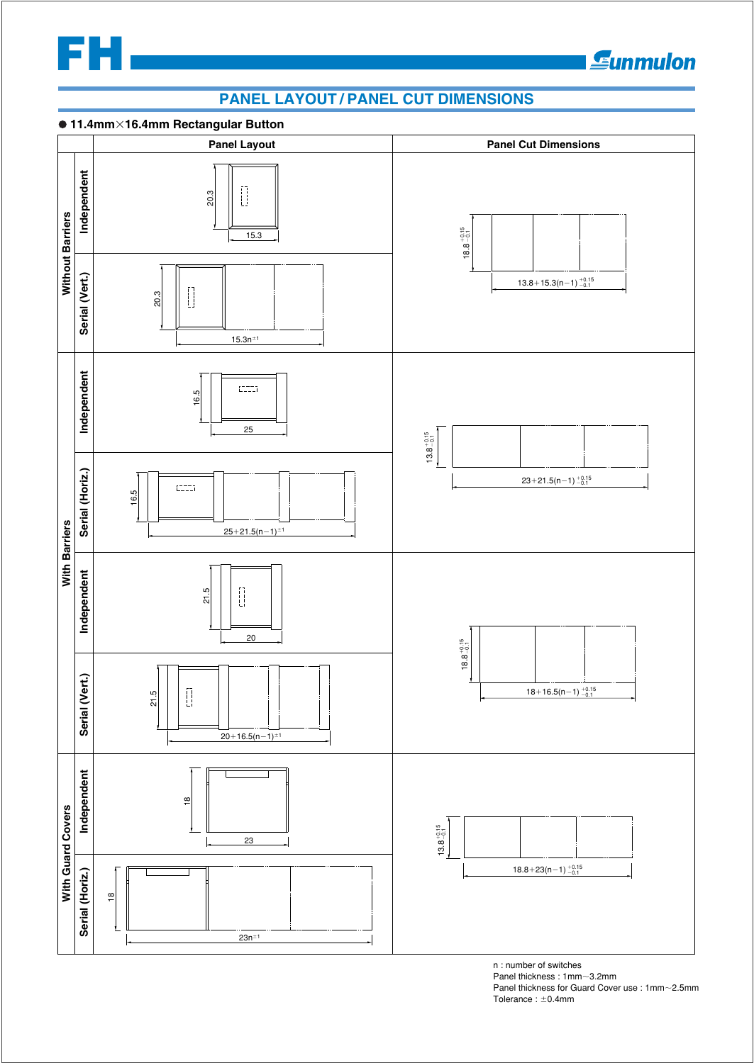

## **Eunmulon**

## **PANEL LAYOUT / PANEL CUT DIMENSIONS**



n : number of switches Panel thickness : 1mm~3.2mm Panel thickness for Guard Cover use : 1mm~2.5mm Tolerance :  $\pm$ 0.4mm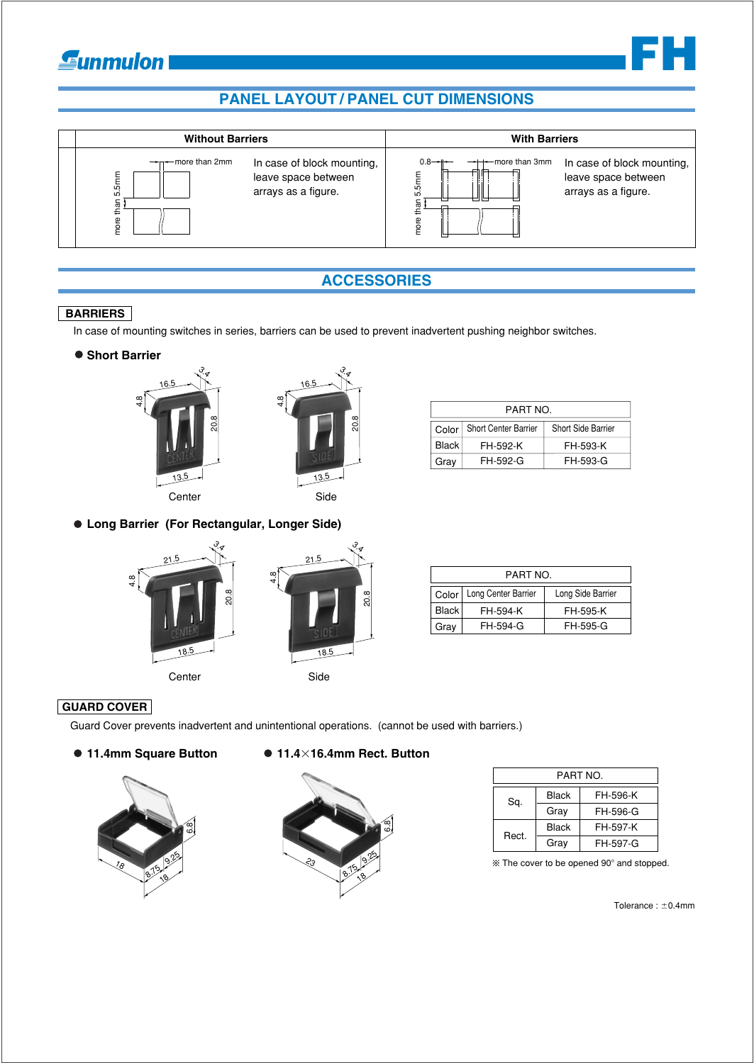## **Gunmulon**





## **ACCESSORIES**

## **BARRIERS**

In case of mounting switches in series, barriers can be used to prevent inadvertent pushing neighbor switches.

 $\bullet$  **Short Barrier** 





Center Side

**Long Barrier (For Rectangular, Longer Side)**



| Gray | FH-592-G | FH-593-G |
|------|----------|----------|
|      |          |          |
|      |          |          |
|      |          |          |
|      |          |          |
|      |          |          |

PART NO. Short Center Barrier | Short Side Barrier

FH-593-K

FH-592-K

Color Black  $|_{\mathsf{Craw}}|$ 

| PART NO. |                     |                   |
|----------|---------------------|-------------------|
| Color    | Long Center Barrier | Long Side Barrier |
| Black    | FH-594-K            | FH-595-K          |
| Grav     | FH-594-G            | FH-595-G          |

## **GUARD COVER**

Guard Cover prevents inadvertent and unintentional operations. (cannot be used with barriers.)



### **11.4mm Square Button 11.416.4mm Rect. Button**



| PART NO. |       |          |
|----------|-------|----------|
| Sa.      | Black | FH-596-K |
|          | Gray  | FH-596-G |
| Rect.    | Black | FH-597-K |
|          | Grav  | FH-597-G |

 $%$  The cover to be opened 90 $^{\circ}$  and stopped.

 $T$ olerance :  $\pm$ 0.4mm

**FH**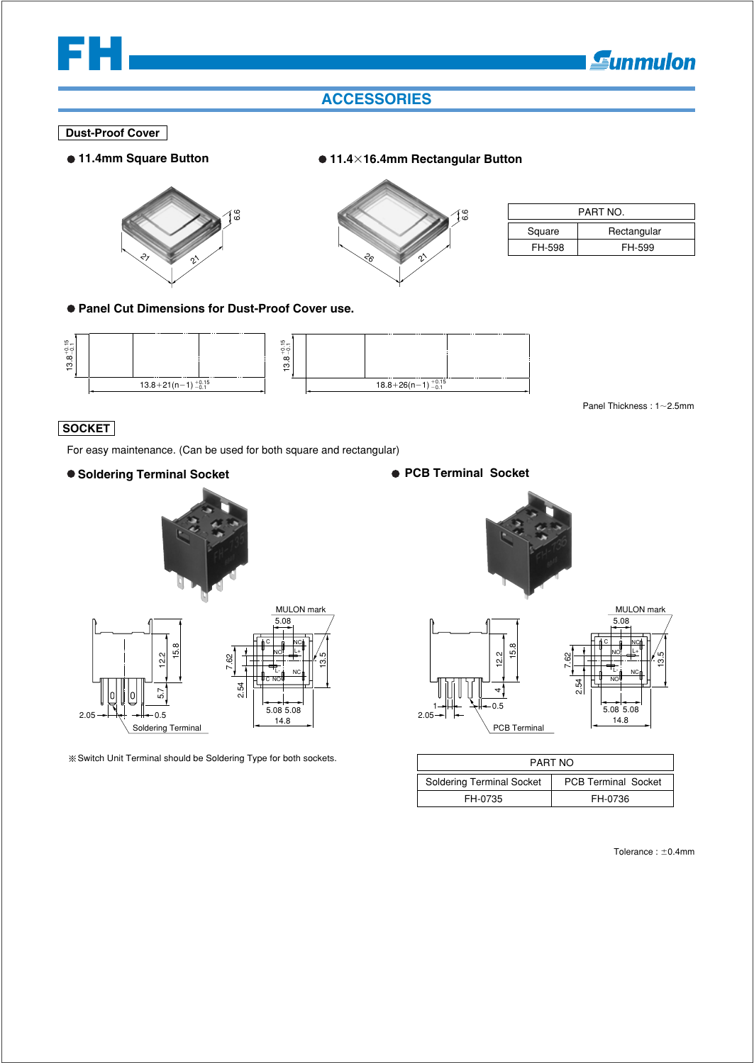

## **ACCESSORIES**

### **Dust-Proof Cover**

**11.4mm Square Button**





**11.416.4mm Rectangular Button** 

| PART NO. |             |  |
|----------|-------------|--|
| Square   | Rectangular |  |
| FH-598   | FH-599      |  |

**Panel Cut Dimensions for Dust-Proof Cover use.**



Panel Thickness : 1~2.5mm

## **SOCKET**

For easy maintenance. (Can be used for both square and rectangular)

### **Soldering Terminal Socket**





Switch Unit Terminal should be Soldering Type for both sockets.

### **PCB Terminal Socket**





| PART NO                          |                            |  |
|----------------------------------|----------------------------|--|
| <b>Soldering Terminal Socket</b> | <b>PCB Terminal Socket</b> |  |
| FH-0735                          | FH-0736                    |  |

Tolerance :  $\pm$ 0.4mm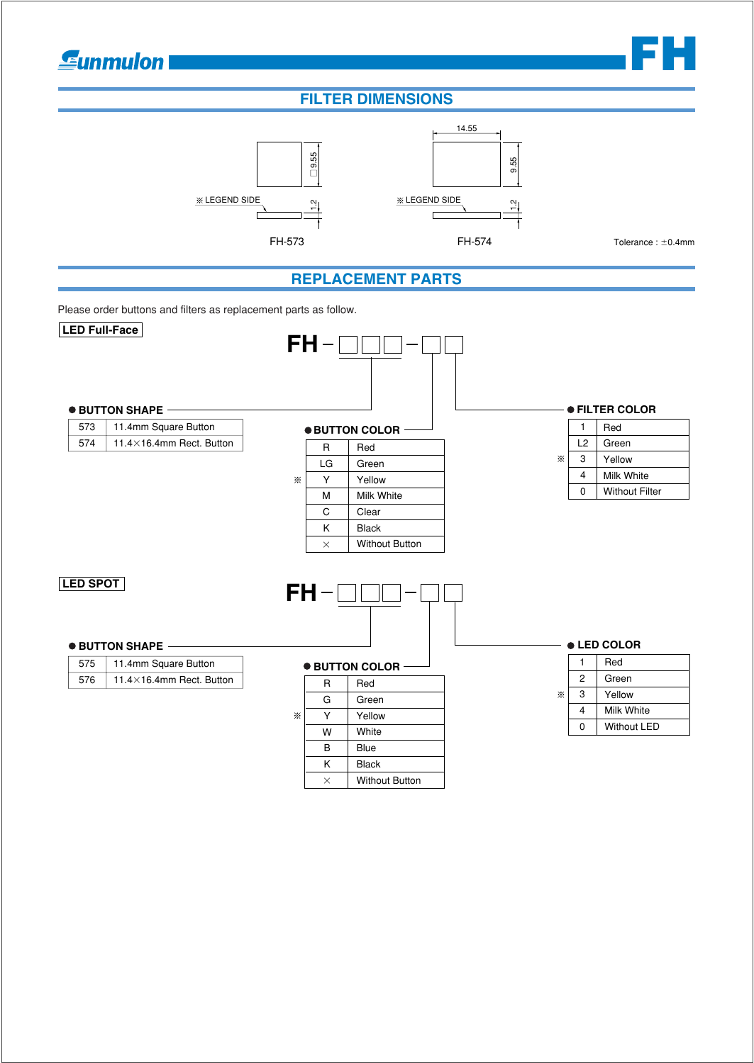